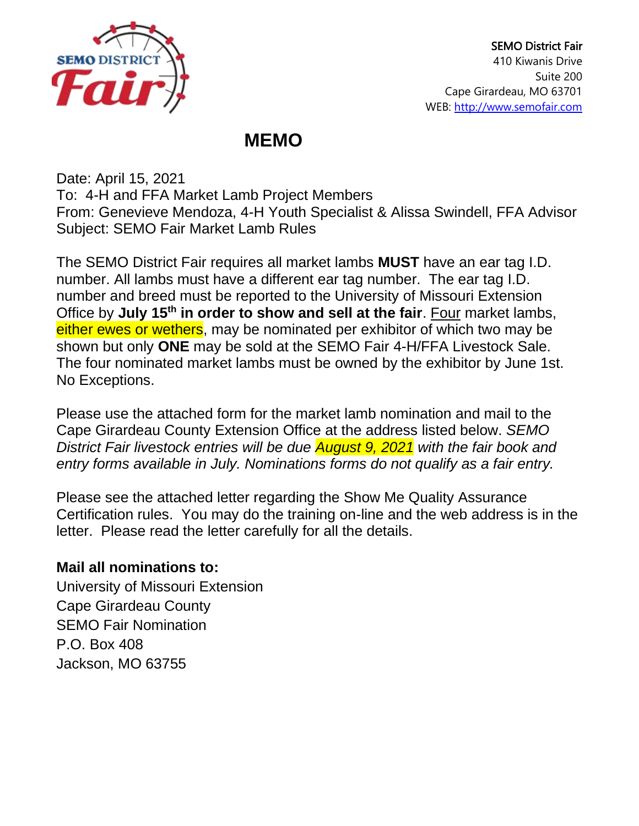

## **MEMO**

Date: April 15, 2021 To: 4-H and FFA Market Lamb Project Members From: Genevieve Mendoza, 4-H Youth Specialist & Alissa Swindell, FFA Advisor Subject: SEMO Fair Market Lamb Rules

The SEMO District Fair requires all market lambs **MUST** have an ear tag I.D. number. All lambs must have a different ear tag number. The ear tag I.D. number and breed must be reported to the University of Missouri Extension Office by **July 15th in order to show and sell at the fair**. Four market lambs, either ewes or wethers, may be nominated per exhibitor of which two may be shown but only **ONE** may be sold at the SEMO Fair 4-H/FFA Livestock Sale. The four nominated market lambs must be owned by the exhibitor by June 1st. No Exceptions.

Please use the attached form for the market lamb nomination and mail to the Cape Girardeau County Extension Office at the address listed below. *SEMO District Fair livestock entries will be due August 9, 2021 with the fair book and entry forms available in July. Nominations forms do not qualify as a fair entry.* 

Please see the attached letter regarding the Show Me Quality Assurance Certification rules. You may do the training on-line and the web address is in the letter. Please read the letter carefully for all the details.

## **Mail all nominations to:**

University of Missouri Extension Cape Girardeau County SEMO Fair Nomination P.O. Box 408 Jackson, MO 63755